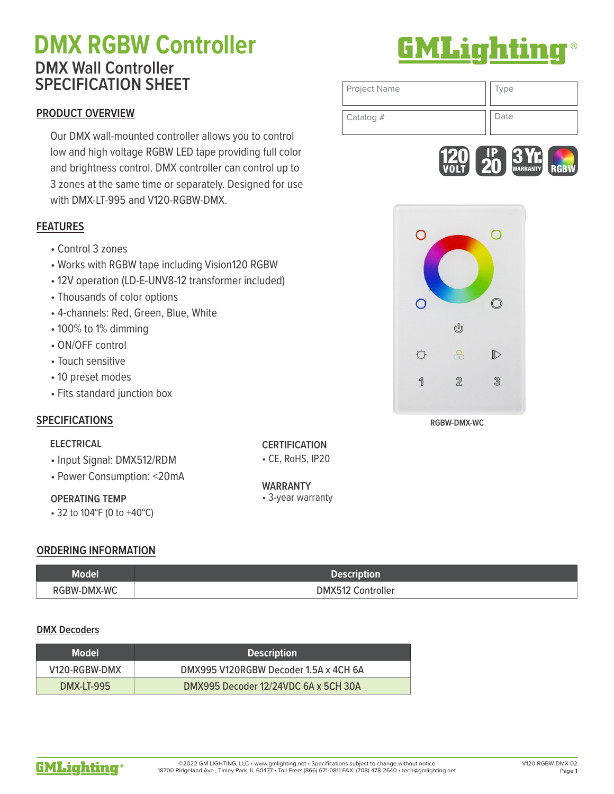# **DMX RGBW Controller 6MLighting DMX Wall Controller SPECIFICATION SHEET**

## **PRODUCT OVERVIEW**

Our DMX wall-mounted controller allows you to control low and high voltage RGBW LED tape providing full color and brightness control. DMX controller can control up to 3 zones at the same time or separately. Designed for use with DMX-LT-995 and V120-RGBW-DMX.

## **FEATURES**

- Control 3 zones
- Works with RGBW tape including Vision120 RGBW
- 12V operation (LD-E-UNV8-12 transformer included)
- Thousands of color options
- 4-channels: Red, Green, Blue, White
- 100% to 1% dimming
- ON/OFF control
- Touch sensitive
- 10 preset modes
- Fits standard junction box

## **SPECIFICATIONS**

#### **ELECTRICAL**

- Input Signal: DMX512/RDM
- Power Consumption: <20mA

## **OPERATING TEMP**

• 32 to 104°F (0 to +40°C)

## **ORDERING INFORMATION**

| Model       | uon                                 |
|-------------|-------------------------------------|
| RGBW-DMX-WC | <i>c</i> ontroller<br><b>DMX51.</b> |

## **DMX Decoders**

| <b>Model</b>  | <b>Description</b>                    |
|---------------|---------------------------------------|
| V120-RGBW-DMX | DMX995 V120RGBW Decoder 1.5A x 4CH 6A |
| DMX-LT-995    | DMX995 Decoder 12/24VDC 6A x 5CH 30A  |



## Page **1**

# Project Name  $\vert \vert$  Type Catalog # Date





**RGBW-DMX-WC**

**CERTIFICATION** • CE, RoHS, IP20

WARRANTY<br>• 3-year warranty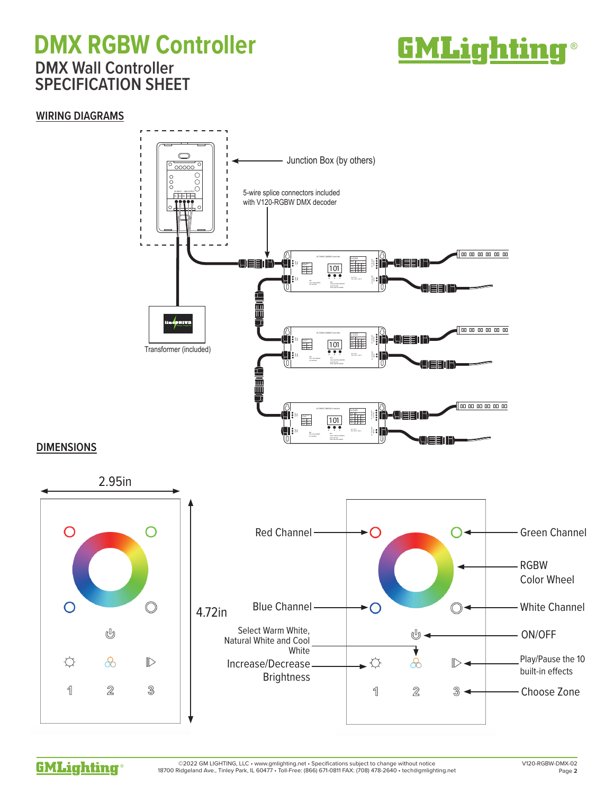# **DMX RGBW Controller EMLighting® DMX Wall Controller SPECIFICATION SHEET**



## **WIRING DIAGRAMS**



## **DIMENSIONS**